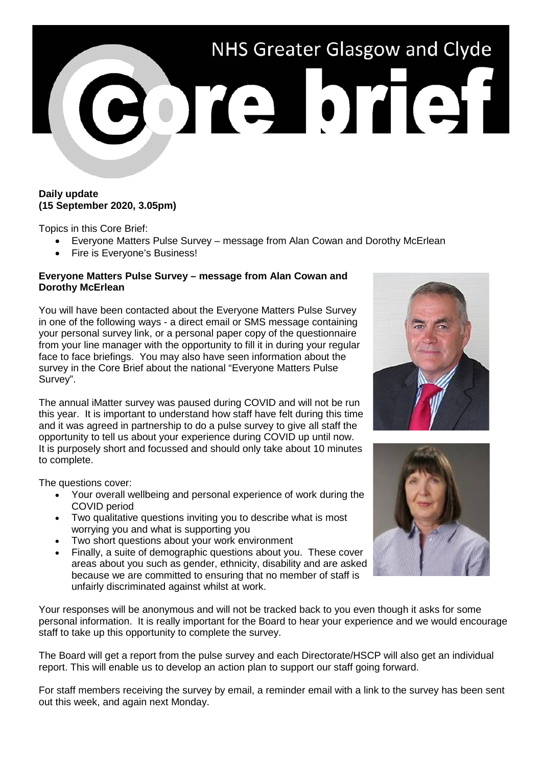

## **Daily update (15 September 2020, 3.05pm)**

Topics in this Core Brief:

- Everyone Matters Pulse Survey message from Alan Cowan and Dorothy McErlean
- Fire is Everyone's Business!

## **Everyone Matters Pulse Survey – message from Alan Cowan and Dorothy McErlean**

You will have been contacted about the Everyone Matters Pulse Survey in one of the following ways - a direct email or SMS message containing your personal survey link, or a personal paper copy of the questionnaire from your line manager with the opportunity to fill it in during your regular face to face briefings. You may also have seen information about the survey in the Core Brief about the national "Everyone Matters Pulse Survey".

The annual iMatter survey was paused during COVID and will not be run this year. It is important to understand how staff have felt during this time and it was agreed in partnership to do a pulse survey to give all staff the opportunity to tell us about your experience during COVID up until now. It is purposely short and focussed and should only take about 10 minutes to complete.

The questions cover:

- Your overall wellbeing and personal experience of work during the COVID period
- Two qualitative questions inviting you to describe what is most worrying you and what is supporting you
- Two short questions about your work environment
- Finally, a suite of demographic questions about you. These cover areas about you such as gender, ethnicity, disability and are asked because we are committed to ensuring that no member of staff is unfairly discriminated against whilst at work.

Your responses will be anonymous and will not be tracked back to you even though it asks for some personal information. It is really important for the Board to hear your experience and we would encourage staff to take up this opportunity to complete the survey.

The Board will get a report from the pulse survey and each Directorate/HSCP will also get an individual report. This will enable us to develop an action plan to support our staff going forward.

For staff members receiving the survey by email, a reminder email with a link to the survey has been sent out this week, and again next Monday.